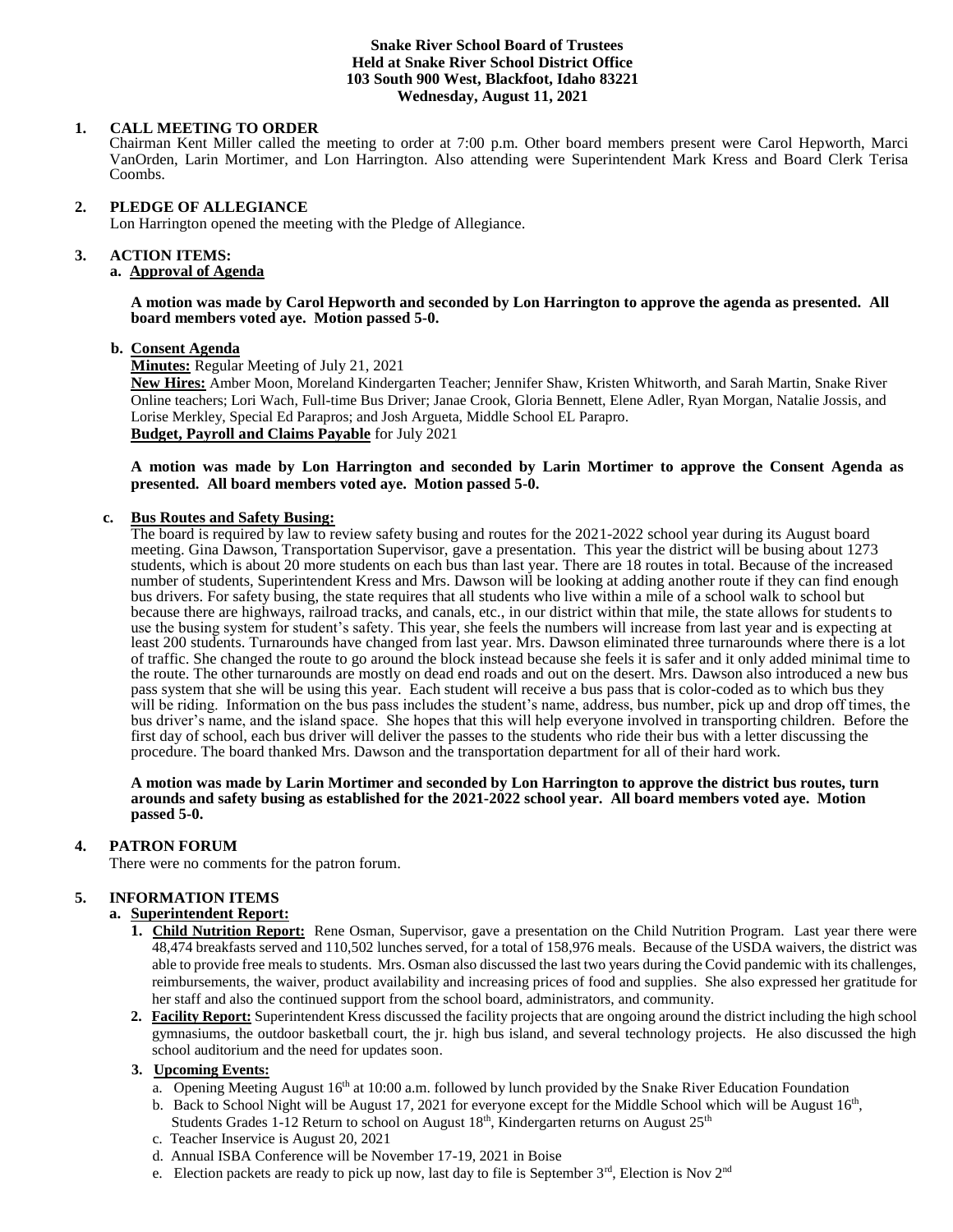### **Snake River School Board of Trustees Held at Snake River School District Office 103 South 900 West, Blackfoot, Idaho 83221 Wednesday, August 11, 2021**

## **1. CALL MEETING TO ORDER**

Chairman Kent Miller called the meeting to order at 7:00 p.m. Other board members present were Carol Hepworth, Marci VanOrden, Larin Mortimer, and Lon Harrington. Also attending were Superintendent Mark Kress and Board Clerk Terisa Coombs.

#### **2. PLEDGE OF ALLEGIANCE**

Lon Harrington opened the meeting with the Pledge of Allegiance.

#### 3. **3. ACTION ITEMS:**

# **a. Approval of Agenda**

**A motion was made by Carol Hepworth and seconded by Lon Harrington to approve the agenda as presented. All board members voted aye. Motion passed 5-0.**

#### **b. Consent Agenda**

**Minutes:** Regular Meeting of July 21, 2021

**New Hires:** Amber Moon, Moreland Kindergarten Teacher; Jennifer Shaw, Kristen Whitworth, and Sarah Martin, Snake River Online teachers; Lori Wach, Full-time Bus Driver; Janae Crook, Gloria Bennett, Elene Adler, Ryan Morgan, Natalie Jossis, and Lorise Merkley, Special Ed Parapros; and Josh Argueta, Middle School EL Parapro. **Budget, Payroll and Claims Payable** for July 2021

### **A motion was made by Lon Harrington and seconded by Larin Mortimer to approve the Consent Agenda as presented. All board members voted aye. Motion passed 5-0.**

## **c. Bus Routes and Safety Busing:**

The board is required by law to review safety busing and routes for the 2021-2022 school year during its August board meeting. Gina Dawson, Transportation Supervisor, gave a presentation. This year the district will be busing about 1273 students, which is about 20 more students on each bus than last year. There are 18 routes in total. Because of the increased number of students, Superintendent Kress and Mrs. Dawson will be looking at adding another route if they can find enough bus drivers. For safety busing, the state requires that all students who live within a mile of a school walk to school but because there are highways, railroad tracks, and canals, etc., in our district within that mile, the state allows for students to use the busing system for student's safety. This year, she feels the numbers will increase from last year and is expecting at least 200 students. Turnarounds have changed from last year. Mrs. Dawson eliminated three turnarounds where there is a lot of traffic. She changed the route to go around the block instead because she feels it is safer and it only added minimal time to the route. The other turnarounds are mostly on dead end roads and out on the desert. Mrs. Dawson also introduced a new bus pass system that she will be using this year. Each student will receive a bus pass that is color-coded as to which bus they will be riding. Information on the bus pass includes the student's name, address, bus number, pick up and drop off times, the bus driver's name, and the island space. She hopes that this will help everyone involved in transporting children. Before the first day of school, each bus driver will deliver the passes to the students who ride their bus with a letter discussing the procedure. The board thanked Mrs. Dawson and the transportation department for all of their hard work.

#### **A motion was made by Larin Mortimer and seconded by Lon Harrington to approve the district bus routes, turn arounds and safety busing as established for the 2021-2022 school year. All board members voted aye. Motion passed 5-0.**

#### **4. PATRON FORUM**

There were no comments for the patron forum.

# **5. INFORMATION ITEMS**

## **a. Superintendent Report:**

- **1. Child Nutrition Report:** Rene Osman, Supervisor, gave a presentation on the Child Nutrition Program. Last year there were 48,474 breakfasts served and 110,502 lunches served, for a total of 158,976 meals. Because of the USDA waivers, the district was able to provide free meals to students. Mrs. Osman also discussed the last two years during the Covid pandemic with its challenges, reimbursements, the waiver, product availability and increasing prices of food and supplies. She also expressed her gratitude for her staff and also the continued support from the school board, administrators, and community.
- **2. Facility Report:** Superintendent Kress discussed the facility projects that are ongoing around the district including the high school gymnasiums, the outdoor basketball court, the jr. high bus island, and several technology projects. He also discussed the high school auditorium and the need for updates soon.

#### **3. Upcoming Events:**

- a. Opening Meeting August 16<sup>th</sup> at 10:00 a.m. followed by lunch provided by the Snake River Education Foundation
- b. Back to School Night will be August 17, 2021 for everyone except for the Middle School which will be August  $16<sup>th</sup>$ ,
	- Students Grades 1-12 Return to school on August  $18<sup>th</sup>$ , Kindergarten returns on August  $25<sup>th</sup>$
	- c. Teacher Inservice is August 20, 2021
	- d. Annual ISBA Conference will be November 17-19, 2021 in Boise
	- e. Election packets are ready to pick up now, last day to file is September 3<sup>rd</sup>, Election is Nov 2<sup>nd</sup>